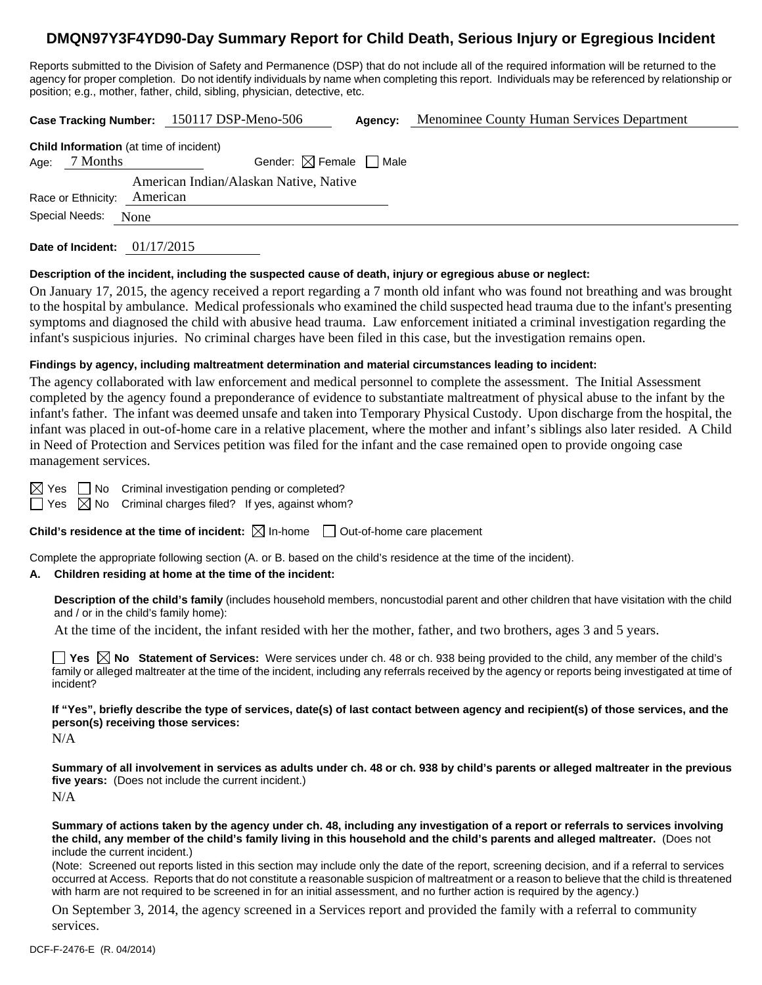# **DMQN97Y3F4YD90-Day Summary Report for Child Death, Serious Injury or Egregious Incident**

Reports submitted to the Division of Safety and Permanence (DSP) that do not include all of the required information will be returned to the agency for proper completion. Do not identify individuals by name when completing this report. Individuals may be referenced by relationship or position; e.g., mother, father, child, sibling, physician, detective, etc.

|                    | <b>Case Tracking Number:</b>                       |            | 150117 DSP-Meno-506                    | Agency: | Menominee County Human Services Department |
|--------------------|----------------------------------------------------|------------|----------------------------------------|---------|--------------------------------------------|
|                    | <b>Child Information</b> (at time of incident)     |            |                                        |         |                                            |
| Age:               | Gender: $\boxtimes$ Female $\Box$ Male<br>7 Months |            |                                        |         |                                            |
|                    |                                                    |            | American Indian/Alaskan Native, Native |         |                                            |
| Race or Ethnicity: |                                                    | American   |                                        |         |                                            |
|                    | Special Needs:                                     | None       |                                        |         |                                            |
|                    | Date of Incident:                                  | 01/17/2015 |                                        |         |                                            |

### **Description of the incident, including the suspected cause of death, injury or egregious abuse or neglect:**

On January 17, 2015, the agency received a report regarding a 7 month old infant who was found not breathing and was brought to the hospital by ambulance. Medical professionals who examined the child suspected head trauma due to the infant's presenting symptoms and diagnosed the child with abusive head trauma. Law enforcement initiated a criminal investigation regarding the infant's suspicious injuries. No criminal charges have been filed in this case, but the investigation remains open.

### **Findings by agency, including maltreatment determination and material circumstances leading to incident:**

The agency collaborated with law enforcement and medical personnel to complete the assessment. The Initial Assessment completed by the agency found a preponderance of evidence to substantiate maltreatment of physical abuse to the infant by the infant's father. The infant was deemed unsafe and taken into Temporary Physical Custody. Upon discharge from the hospital, the infant was placed in out-of-home care in a relative placement, where the mother and infant's siblings also later resided. A Child in Need of Protection and Services petition was filed for the infant and the case remained open to provide ongoing case management services.

 $\boxtimes$  Yes  $\Box$  No Criminal investigation pending or completed?

 $\Box$  Yes  $\boxtimes$  No Criminal charges filed? If yes, against whom?

**Child's residence at the time of incident:**  $\boxtimes$  In-home  $\Box$  Out-of-home care placement

Complete the appropriate following section (A. or B. based on the child's residence at the time of the incident).

#### **A. Children residing at home at the time of the incident:**

**Description of the child's family** (includes household members, noncustodial parent and other children that have visitation with the child and / or in the child's family home):

At the time of the incident, the infant resided with her the mother, father, and two brothers, ages 3 and 5 years.

■ Yes △ No Statement of Services: Were services under ch. 48 or ch. 938 being provided to the child, any member of the child's family or alleged maltreater at the time of the incident, including any referrals received by the agency or reports being investigated at time of incident?

**If "Yes", briefly describe the type of services, date(s) of last contact between agency and recipient(s) of those services, and the person(s) receiving those services:** 

N/A

**Summary of all involvement in services as adults under ch. 48 or ch. 938 by child's parents or alleged maltreater in the previous five years:** (Does not include the current incident.) N/A

**Summary of actions taken by the agency under ch. 48, including any investigation of a report or referrals to services involving the child, any member of the child's family living in this household and the child's parents and alleged maltreater.** (Does not include the current incident.)

(Note: Screened out reports listed in this section may include only the date of the report, screening decision, and if a referral to services occurred at Access. Reports that do not constitute a reasonable suspicion of maltreatment or a reason to believe that the child is threatened with harm are not required to be screened in for an initial assessment, and no further action is required by the agency.)

On September 3, 2014, the agency screened in a Services report and provided the family with a referral to community services.